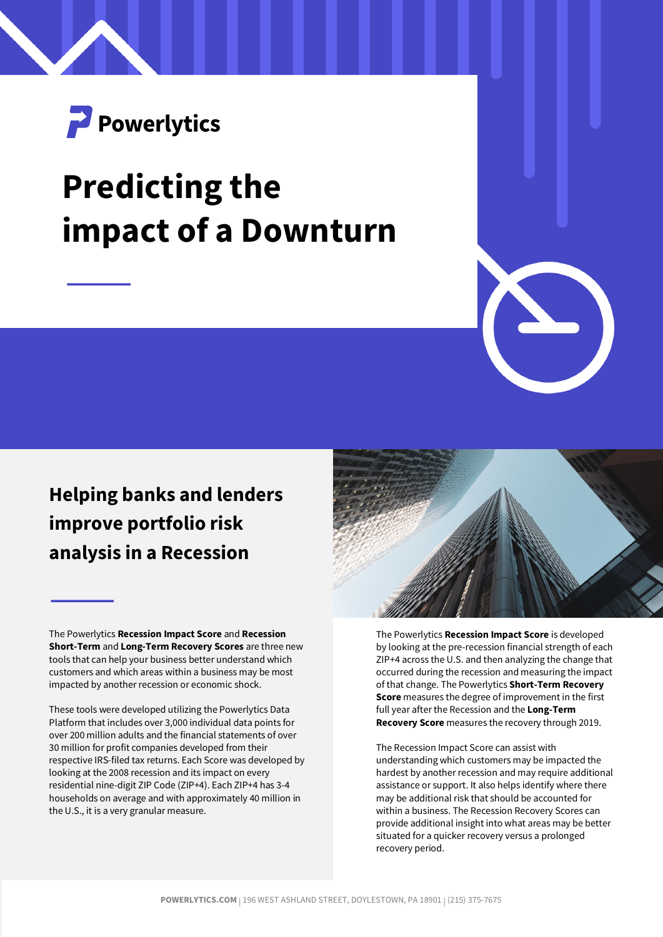

# **Predicting the impact of a Downturn**

# **Helping banks and lenders improve portfolio risk analysis in a Recession**

The Powerlytics **Recession Impact Score** and **Recession Short-Term** and **Long-Term Recovery Scores** are three new tools that can help your business better understand which customers and which areas within a business may be most impacted by another recession or economic shock.

These tools were developed utilizing the Powerlytics Data Platform that includes over 3,000 individual data points for over 200 million adults and the financial statements of over 30 million for profit companies developed from their respective IRS-filed tax returns. Each Score was developed by looking at the 2008 recession and its impact on every residential nine-digit ZIP Code (ZIP+4). Each ZIP+4 has 3-4 households on average and with approximately 40 million in the U.S., it is a very granular measure.



The Powerlytics **Recession Impact Score** is developed by looking at the pre-recession financial strength of each ZIP+4 across the U.S. and then analyzing the change that occurred during the recession and measuring the impact of that change. The Powerlytics **Short-Term Recovery Score** measures the degree of improvement in the first full year after the Recession and the **Long-Term Recovery Score** measures the recovery through 2019.

The Recession Impact Score can assist with understanding which customers may be impacted the hardest by another recession and may require additional assistance or support. It also helps identify where there may be additional risk that should be accounted for within a business. The Recession Recovery Scores can provide additional insight into what areas may be better situated for a quicker recovery versus a prolonged recovery period.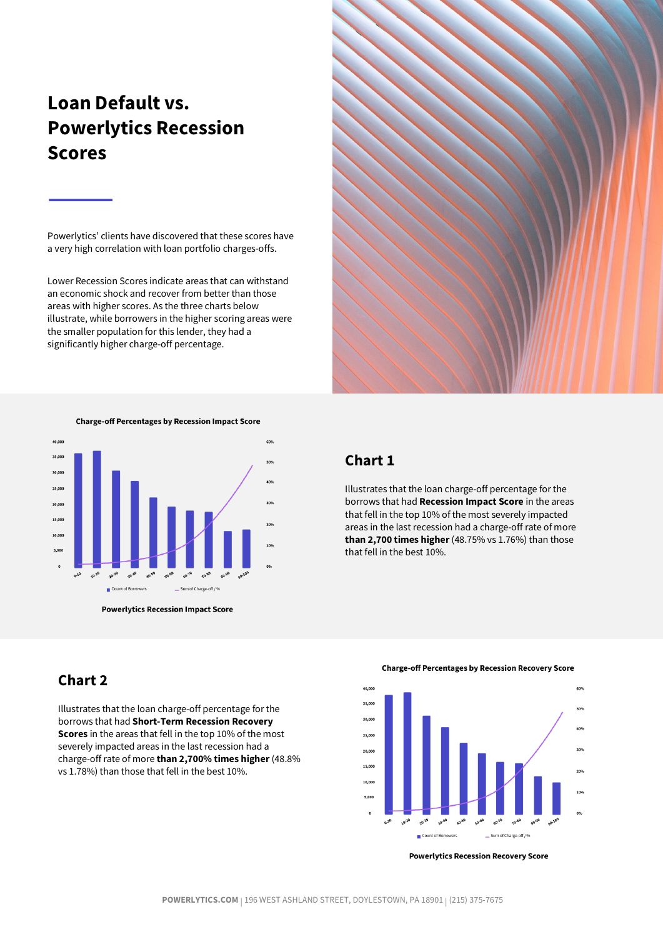## **Loan Default vs. Powerlytics Recession Scores**

Powerlytics' clients have discovered that these scores have a very high correlation with loan portfolio charges-offs.

Lower Recession Scores indicate areas that can withstand an economic shock and recover from better than those areas with higher scores. As the three charts below illustrate, while borrowers in the higher scoring areas were the smaller population for this lender, they had a significantly higher charge-off percentage.



**Powerlytics Recession Impact Score** 

## **Chart 2**

Illustrates that the loan charge-off percentage for the borrows that had **Short-Term Recession Recovery Scores** in the areas that fell in the top 10% of the most severely impacted areas in the last recession had a charge-off rate of more **than 2,700% times higher**(48.8% vs 1.78%) than those that fell in the best 10%.





**Powerlytics Recession Recovery Score** 



#### **Chart 1**

Illustrates that the loan charge-off percentage for the borrows that had **Recession Impact Score** in the areas that fell in the top 10% of the most severely impacted areas in the last recession had a charge-off rate of more **than 2,700 times higher**(48.75% vs 1.76%) than those that fell in the best 10%.